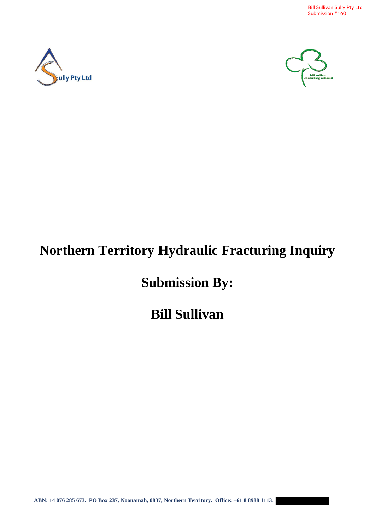



# **Northern Territory Hydraulic Fracturing Inquiry**

# **Submission By:**

**Bill Sullivan**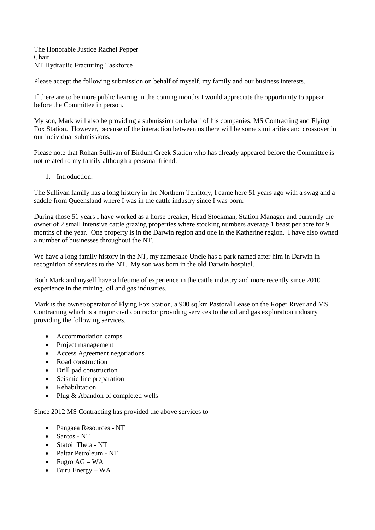The Honorable Justice Rachel Pepper Chair NT Hydraulic Fracturing Taskforce

Please accept the following submission on behalf of myself, my family and our business interests.

If there are to be more public hearing in the coming months I would appreciate the opportunity to appear before the Committee in person.

My son, Mark will also be providing a submission on behalf of his companies, MS Contracting and Flying Fox Station. However, because of the interaction between us there will be some similarities and crossover in our individual submissions.

Please note that Rohan Sullivan of Birdum Creek Station who has already appeared before the Committee is not related to my family although a personal friend.

1. Introduction:

The Sullivan family has a long history in the Northern Territory, I came here 51 years ago with a swag and a saddle from Queensland where I was in the cattle industry since I was born.

During those 51 years I have worked as a horse breaker, Head Stockman, Station Manager and currently the owner of 2 small intensive cattle grazing properties where stocking numbers average 1 beast per acre for 9 months of the year. One property is in the Darwin region and one in the Katherine region. I have also owned a number of businesses throughout the NT.

We have a long family history in the NT, my namesake Uncle has a park named after him in Darwin in recognition of services to the NT. My son was born in the old Darwin hospital.

Both Mark and myself have a lifetime of experience in the cattle industry and more recently since 2010 experience in the mining, oil and gas industries.

Mark is the owner/operator of Flying Fox Station, a 900 sq.km Pastoral Lease on the Roper River and MS Contracting which is a major civil contractor providing services to the oil and gas exploration industry providing the following services.

- Accommodation camps
- Project management
- Access Agreement negotiations
- Road construction
- Drill pad construction
- Seismic line preparation
- Rehabilitation
- Plug & Abandon of completed wells

Since 2012 MS Contracting has provided the above services to

- Pangaea Resources NT
- Santos NT
- Statoil Theta NT
- Paltar Petroleum NT
- Fugro AG WA
- Buru Energy WA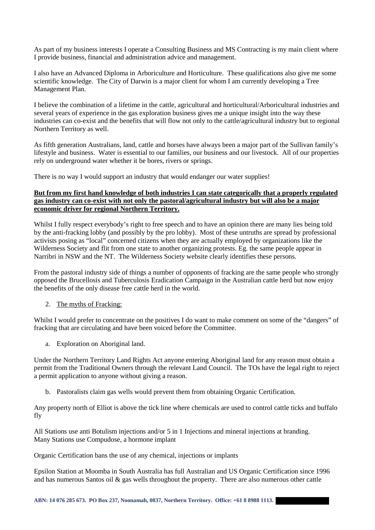As part of my business interests I operate a Consulting Business and MS Contracting is my main client where I provide business, financial and administration advice and management.

I also have an Advanced Diploma in Arboriculture and Horticulture. These qualifications also give me some scientific knowledge. The City of Darwin is a major client for whom I am currently developing a Tree Management Plan.

I believe the combination of a lifetime in the cattle, agricultural and horticultural/Arboricultural industries and several years of experience in the gas exploration business gives me a unique insight into the way these industries can co-exist and the benefits that will flow not only to the cattle/agricultural industry but to regional Northern Territory as well.

As fifth generation Australians, land, cattle and horses have always been a major part of the Sullivan family's lifestyle and business. Water is essential to our families, our business and our livestock. All of our properties rely on underground water whether it be bores, rivers or springs.

There is no way I would support an industry that would endanger our water supplies!

### **But from my first hand knowledge of both industries I can state categorically that a properly regulated gas industry can co-exist with not only the pastoral/agricultural industry but will also be a major economic driver for regional Northern Territory.**

Whilst I fully respect everybody's right to free speech and to have an opinion there are many lies being told by the anti-fracking lobby (and possibly by the pro lobby). Most of these untruths are spread by professional activists posing as "local" concerned citizens when they are actually employed by organizations like the Wilderness Society and flit from one state to another organizing protests. Eg. the same people appear in Narribri in NSW and the NT. The Wilderness Society website clearly identifies these persons.

From the pastoral industry side of things a number of opponents of fracking are the same people who strongly opposed the Brucellosis and Tuberculosis Eradication Campaign in the Australian cattle herd but now enjoy the benefits of the only disease free cattle herd in the world.

#### 2. The myths of Fracking:

Whilst I would prefer to concentrate on the positives I do want to make comment on some of the "dangers" of fracking that are circulating and have been voiced before the Committee.

a. Exploration on Aboriginal land.

Under the Northern Territory Land Rights Act anyone entering Aboriginal land for any reason must obtain a permit from the Traditional Owners through the relevant Land Council. The TOs have the legal right to reject a permit application to anyone without giving a reason.

b. Pastoralists claim gas wells would prevent them from obtaining Organic Certification.

Any property north of Elliot is above the tick line where chemicals are used to control cattle ticks and buffalo fly

All Stations use anti Botulism injections and/or 5 in 1 Injections and mineral injections at branding. Many Stations use Compudose, a hormone implant

Organic Certification bans the use of any chemical, injections or implants

Epsilon Station at Moomba in South Australia has full Australian and US Organic Certification since 1996 and has numerous Santos oil & gas wells throughout the property. There are also numerous other cattle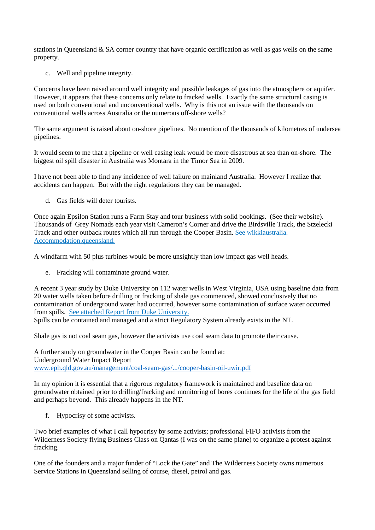stations in Queensland & SA corner country that have organic certification as well as gas wells on the same property.

c. Well and pipeline integrity.

Concerns have been raised around well integrity and possible leakages of gas into the atmosphere or aquifer. However, it appears that these concerns only relate to fracked wells. Exactly the same structural casing is used on both conventional and unconventional wells. Why is this not an issue with the thousands on conventional wells across Australia or the numerous off-shore wells?

The same argument is raised about on-shore pipelines. No mention of the thousands of kilometres of undersea pipelines.

It would seem to me that a pipeline or well casing leak would be more disastrous at sea than on-shore. The biggest oil spill disaster in Australia was Montara in the Timor Sea in 2009.

I have not been able to find any incidence of well failure on mainland Australia. However I realize that accidents can happen. But with the right regulations they can be managed.

d. Gas fields will deter tourists.

Once again Epsilon Station runs a Farm Stay and tour business with solid bookings. (See their website). Thousands of Grey Nomads each year visit Cameron's Corner and drive the Birdsville Track, the Stzelecki Track and other outback routes which all run through the Cooper Basin. See wikkiaustralia. Accommodation.queensland.

A windfarm with 50 plus turbines would be more unsightly than low impact gas well heads.

e. Fracking will contaminate ground water.

A recent 3 year study by Duke University on 112 water wells in West Virginia, USA using baseline data from 20 water wells taken before drilling or fracking of shale gas commenced, showed conclusively that no contamination of underground water had occurred, however some contamination of surface water occurred from spills. See attached Report from Duke University. Spills can be contained and managed and a strict Regulatory System already exists in the NT.

Shale gas is not coal seam gas, however the activists use coal seam data to promote their cause.

A further study on groundwater in the Cooper Basin can be found at: Underground Water Impact Report www.eph.qld.gov.au/management/coal-seam-gas/.../cooper-basin-oil-uwir.pdf

In my opinion it is essential that a rigorous regulatory framework is maintained and baseline data on groundwater obtained prior to drilling/fracking and monitoring of bores continues for the life of the gas field and perhaps beyond. This already happens in the NT.

f. Hypocrisy of some activists.

Two brief examples of what I call hypocrisy by some activists; professional FIFO activists from the Wilderness Society flying Business Class on Qantas (I was on the same plane) to organize a protest against fracking.

One of the founders and a major funder of "Lock the Gate" and The Wilderness Society owns numerous Service Stations in Queensland selling of course, diesel, petrol and gas.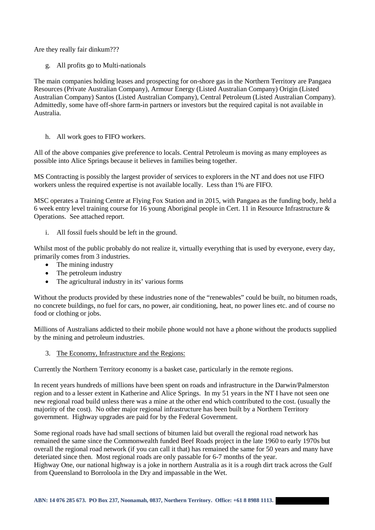Are they really fair dinkum???

g. All profits go to Multi-nationals

The main companies holding leases and prospecting for on-shore gas in the Northern Territory are Pangaea Resources (Private Australian Company), Armour Energy (Listed Australian Company) Origin (Listed Australian Company) Santos (Listed Australian Company), Central Petroleum (Listed Australian Company). Admittedly, some have off-shore farm-in partners or investors but the required capital is not available in Australia.

h. All work goes to FIFO workers.

All of the above companies give preference to locals. Central Petroleum is moving as many employees as possible into Alice Springs because it believes in families being together.

MS Contracting is possibly the largest provider of services to explorers in the NT and does not use FIFO workers unless the required expertise is not available locally. Less than 1% are FIFO.

MSC operates a Training Centre at Flying Fox Station and in 2015, with Pangaea as the funding body, held a 6 week entry level training course for 16 young Aboriginal people in Cert. 11 in Resource Infrastructure & Operations. See attached report.

i. All fossil fuels should be left in the ground.

Whilst most of the public probably do not realize it, virtually everything that is used by everyone, every day, primarily comes from 3 industries.

- The mining industry
- The petroleum industry
- The agricultural industry in its' various forms

Without the products provided by these industries none of the "renewables" could be built, no bitumen roads, no concrete buildings, no fuel for cars, no power, air conditioning, heat, no power lines etc. and of course no food or clothing or jobs.

Millions of Australians addicted to their mobile phone would not have a phone without the products supplied by the mining and petroleum industries.

3. The Economy, Infrastructure and the Regions:

Currently the Northern Territory economy is a basket case, particularly in the remote regions.

In recent years hundreds of millions have been spent on roads and infrastructure in the Darwin/Palmerston region and to a lesser extent in Katherine and Alice Springs. In my 51 years in the NT I have not seen one new regional road build unless there was a mine at the other end which contributed to the cost. (usually the majority of the cost). No other major regional infrastructure has been built by a Northern Territory government. Highway upgrades are paid for by the Federal Government.

Some regional roads have had small sections of bitumen laid but overall the regional road network has remained the same since the Commonwealth funded Beef Roads project in the late 1960 to early 1970s but overall the regional road network (if you can call it that) has remained the same for 50 years and many have deteriated since then. Most regional roads are only passable for 6-7 months of the year. Highway One, our national highway is a joke in northern Australia as it is a rough dirt track across the Gulf from Queensland to Borroloola in the Dry and impassable in the Wet.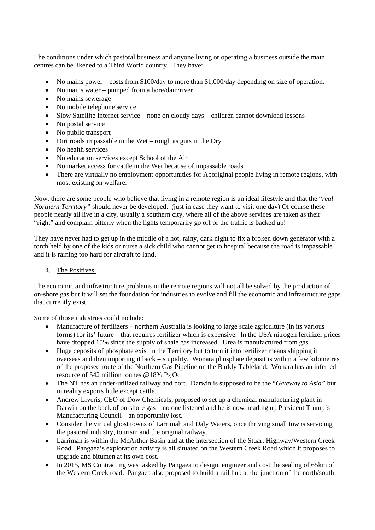The conditions under which pastoral business and anyone living or operating a business outside the main centres can be likened to a Third World country. They have:

- No mains power costs from \$100/day to more than \$1,000/day depending on size of operation.
- No mains water pumped from a bore/dam/river
- No mains sewerage
- No mobile telephone service
- Slow Satellite Internet service none on cloudy days children cannot download lessons
- No postal service
- No public transport
- Dirt roads impassable in the Wet rough as guts in the Dry
- No health services
- No education services except School of the Air
- No market access for cattle in the Wet because of impassable roads
- There are virtually no employment opportunities for Aboriginal people living in remote regions, with most existing on welfare.

Now, there are some people who believe that living in a remote region is an ideal lifestyle and that the "*real Northern Territory*" should never be developed. (just in case they want to visit one day) Of course these people nearly all live in a city, usually a southern city, where all of the above services are taken as their "right" and complain bitterly when the lights temporarily go off or the traffic is backed up!

They have never had to get up in the middle of a hot, rainy, dark night to fix a broken down generator with a torch held by one of the kids or nurse a sick child who cannot get to hospital because the road is impassable and it is raining too hard for aircraft to land.

#### 4. The Positives.

The economic and infrastructure problems in the remote regions will not all be solved by the production of on-shore gas but it will set the foundation for industries to evolve and fill the economic and infrastructure gaps that currently exist.

Some of those industries could include:

- Manufacture of fertilizers northern Australia is looking to large scale agriculture (in its various forms) for its' future – that requires fertilizer which is expensive. In the USA nitrogen fertilizer prices have dropped 15% since the supply of shale gas increased. Urea is manufactured from gas.
- Huge deposits of phosphate exist in the Territory but to turn it into fertilizer means shipping it overseas and then importing it back  $=$  stupidity. Wonara phosphate deposit is within a few kilometres of the proposed route of the Northern Gas Pipeline on the Barkly Tableland. Wonara has an inferred resource of 542 million tonnes @18%  $P_2$ ,  $O_5$
- The NT has an under-utilized railway and port. Darwin is supposed to be the "*Gateway to Asia"* but in reality exports little except cattle.
- Andrew Liveris, CEO of Dow Chemicals, proposed to set up a chemical manufacturing plant in Darwin on the back of on-shore gas – no one listened and he is now heading up President Trump's Manufacturing Council – an opportunity lost.
- Consider the virtual ghost towns of Larrimah and Daly Waters, once thriving small towns servicing the pastoral industry, tourism and the original railway.
- Larrimah is within the McArthur Basin and at the intersection of the Stuart Highway/Western Creek Road. Pangaea's exploration activity is all situated on the Western Creek Road which it proposes to upgrade and bitumen at its own cost.
- In 2015, MS Contracting was tasked by Pangaea to design, engineer and cost the sealing of 65km of the Western Creek road. Pangaea also proposed to build a rail hub at the junction of the north/south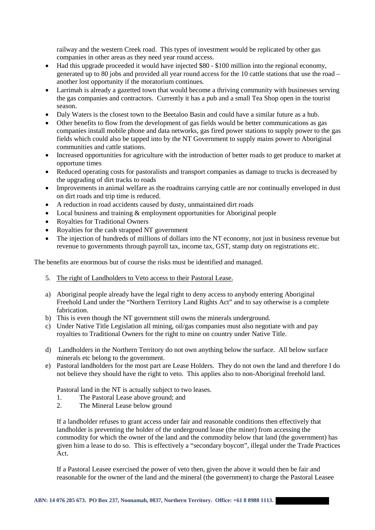railway and the western Creek road. This types of investment would be replicated by other gas companies in other areas as they need year round access.

- Had this upgrade proceeded it would have injected \$80 \$100 million into the regional economy, generated up to 80 jobs and provided all year round access for the 10 cattle stations that use the road – another lost opportunity if the moratorium continues.
- Larrimah is already a gazetted town that would become a thriving community with businesses serving the gas companies and contractors. Currently it has a pub and a small Tea Shop open in the tourist season.
- Daly Waters is the closest town to the Beetaloo Basin and could have a similar future as a hub.
- Other benefits to flow from the development of gas fields would be better communications as gas companies install mobile phone and data networks, gas fired power stations to supply power to the gas fields which could also be tapped into by the NT Government to supply mains power to Aboriginal communities and cattle stations.
- Increased opportunities for agriculture with the introduction of better roads to get produce to market at opportune times
- Reduced operating costs for pastoralists and transport companies as damage to trucks is decreased by the upgrading of dirt tracks to roads
- Improvements in animal welfare as the roadtrains carrying cattle are nor continually enveloped in dust on dirt roads and trip time is reduced.
- A reduction in road accidents caused by dusty, unmaintained dirt roads
- Local business and training & employment opportunities for Aboriginal people
- Royalties for Traditional Owners
- Royalties for the cash strapped NT government
- The injection of hundreds of millions of dollars into the NT economy, not just in business revenue but revenue to governments through payroll tax, income tax, GST, stamp duty on registrations etc.

The benefits are enormous but of course the risks must be identified and managed.

- 5. The right of Landholders to Veto access to their Pastoral Lease.
- a) Aboriginal people already have the legal right to deny access to anybody entering Aboriginal Freehold Land under the "Northern Territory Land Rights Act" and to say otherwise is a complete fabrication.
- b) This is even though the NT government still owns the minerals underground.
- c) Under Native Title Legislation all mining, oil/gas companies must also negotiate with and pay royalties to Traditional Owners for the right to mine on country under Native Title.
- d) Landholders in the Northern Territory do not own anything below the surface. All below surface minerals etc belong to the government.
- e) Pastoral landholders for the most part are Lease Holders. They do not own the land and therefore I do not believe they should have the right to veto. This applies also to non-Aboriginal freehold land.

Pastoral land in the NT is actually subject to two leases.

- 1. The Pastoral Lease above ground; and
- 2. The Mineral Lease below ground

If a landholder refuses to grant access under fair and reasonable conditions then effectively that landholder is preventing the holder of the underground lease (the miner) from accessing the commodity for which the owner of the land and the commodity below that land (the government) has given him a lease to do so. This is effectively a "secondary boycott", illegal under the Trade Practices Act.

If a Pastoral Leasee exercised the power of veto then, given the above it would then be fair and reasonable for the owner of the land and the mineral (the government) to charge the Pastoral Leasee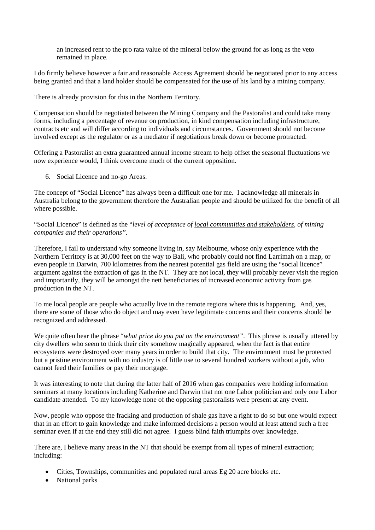an increased rent to the pro rata value of the mineral below the ground for as long as the veto remained in place.

I do firmly believe however a fair and reasonable Access Agreement should be negotiated prior to any access being granted and that a land holder should be compensated for the use of his land by a mining company.

There is already provision for this in the Northern Territory.

Compensation should be negotiated between the Mining Company and the Pastoralist and could take many forms, including a percentage of revenue on production, in kind compensation including infrastructure, contracts etc and will differ according to individuals and circumstances. Government should not become involved except as the regulator or as a mediator if negotiations break down or become protracted.

Offering a Pastoralist an extra guaranteed annual income stream to help offset the seasonal fluctuations we now experience would, I think overcome much of the current opposition.

#### 6. Social Licence and no-go Areas.

The concept of "Social Licence" has always been a difficult one for me. I acknowledge all minerals in Australia belong to the government therefore the Australian people and should be utilized for the benefit of all where possible.

### "Social Licence" is defined as the "*level of acceptance of local communities and stakeholders, of mining companies and their operations".*

Therefore, I fail to understand why someone living in, say Melbourne, whose only experience with the Northern Territory is at 30,000 feet on the way to Bali, who probably could not find Larrimah on a map, or even people in Darwin, 700 kilometres from the nearest potential gas field are using the "social licence" argument against the extraction of gas in the NT. They are not local, they will probably never visit the region and importantly, they will be amongst the nett beneficiaries of increased economic activity from gas production in the NT.

To me local people are people who actually live in the remote regions where this is happening. And, yes, there are some of those who do object and may even have legitimate concerns and their concerns should be recognized and addressed.

We quite often hear the phrase "*what price do you put on the environment"*. This phrase is usually uttered by city dwellers who seem to think their city somehow magically appeared, when the fact is that entire ecosystems were destroyed over many years in order to build that city. The environment must be protected but a pristine environment with no industry is of little use to several hundred workers without a job, who cannot feed their families or pay their mortgage.

It was interesting to note that during the latter half of 2016 when gas companies were holding information seminars at many locations including Katherine and Darwin that not one Labor politician and only one Labor candidate attended. To my knowledge none of the opposing pastoralists were present at any event.

Now, people who oppose the fracking and production of shale gas have a right to do so but one would expect that in an effort to gain knowledge and make informed decisions a person would at least attend such a free seminar even if at the end they still did not agree. I guess blind faith triumphs over knowledge.

There are, I believe many areas in the NT that should be exempt from all types of mineral extraction; including:

- Cities, Townships, communities and populated rural areas Eg 20 acre blocks etc.
- National parks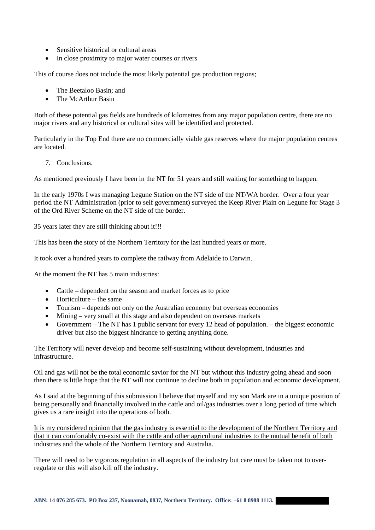- Sensitive historical or cultural areas
- In close proximity to major water courses or rivers

This of course does not include the most likely potential gas production regions;

- The Beetaloo Basin; and
- The McArthur Basin

Both of these potential gas fields are hundreds of kilometres from any major population centre, there are no major rivers and any historical or cultural sites will be identified and protected.

Particularly in the Top End there are no commercially viable gas reserves where the major population centres are located.

7. Conclusions.

As mentioned previously I have been in the NT for 51 years and still waiting for something to happen.

In the early 1970s I was managing Legune Station on the NT side of the NT/WA border. Over a four year period the NT Administration (prior to self government) surveyed the Keep River Plain on Legune for Stage 3 of the Ord River Scheme on the NT side of the border.

35 years later they are still thinking about it!!!

This has been the story of the Northern Territory for the last hundred years or more.

It took over a hundred years to complete the railway from Adelaide to Darwin.

At the moment the NT has 5 main industries:

- Cattle dependent on the season and market forces as to price
- $\bullet$  Horticulture the same
- Tourism depends not only on the Australian economy but overseas economies
- Mining very small at this stage and also dependent on overseas markets
- Government The NT has 1 public servant for every 12 head of population. the biggest economic driver but also the biggest hindrance to getting anything done.

The Territory will never develop and become self-sustaining without development, industries and infrastructure.

Oil and gas will not be the total economic savior for the NT but without this industry going ahead and soon then there is little hope that the NT will not continue to decline both in population and economic development.

As I said at the beginning of this submission I believe that myself and my son Mark are in a unique position of being personally and financially involved in the cattle and oil/gas industries over a long period of time which gives us a rare insight into the operations of both.

It is my considered opinion that the gas industry is essential to the development of the Northern Territory and that it can comfortably co-exist with the cattle and other agricultural industries to the mutual benefit of both industries and the whole of the Northern Territory and Australia.

There will need to be vigorous regulation in all aspects of the industry but care must be taken not to overregulate or this will also kill off the industry.